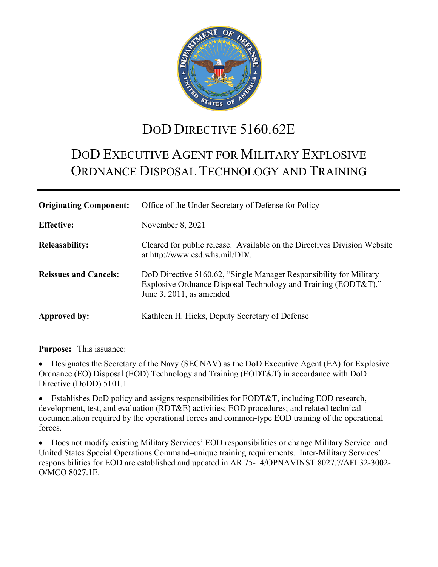

# DOD DIRECTIVE 5160.62E

# DOD EXECUTIVE AGENT FOR MILITARY EXPLOSIVE ORDNANCE DISPOSAL TECHNOLOGY AND TRAINING

| <b>Originating Component:</b> | Office of the Under Secretary of Defense for Policy                                                                                                              |
|-------------------------------|------------------------------------------------------------------------------------------------------------------------------------------------------------------|
| <b>Effective:</b>             | November $8, 2021$                                                                                                                                               |
| <b>Releasability:</b>         | Cleared for public release. Available on the Directives Division Website<br>at http://www.esd.whs.mil/DD/.                                                       |
| <b>Reissues and Cancels:</b>  | DoD Directive 5160.62, "Single Manager Responsibility for Military<br>Explosive Ordnance Disposal Technology and Training (EODT&T),"<br>June 3, 2011, as amended |
| Approved by:                  | Kathleen H. Hicks, Deputy Secretary of Defense                                                                                                                   |

**Purpose:** This issuance:

• Designates the Secretary of the Navy (SECNAV) as the DoD Executive Agent (EA) for Explosive Ordnance (EO) Disposal (EOD) Technology and Training (EODT&T) in accordance with DoD Directive (DoDD) 5101.1.

Establishes DoD policy and assigns responsibilities for EODT&T, including EOD research, development, test, and evaluation (RDT&E) activities; EOD procedures; and related technical documentation required by the operational forces and common-type EOD training of the operational forces.

• Does not modify existing Military Services' EOD responsibilities or change Military Service–and United States Special Operations Command–unique training requirements. Inter-Military Services' responsibilities for EOD are established and updated in AR 75-14/OPNAVINST 8027.7/AFI 32-3002- O/MCO 8027.1E.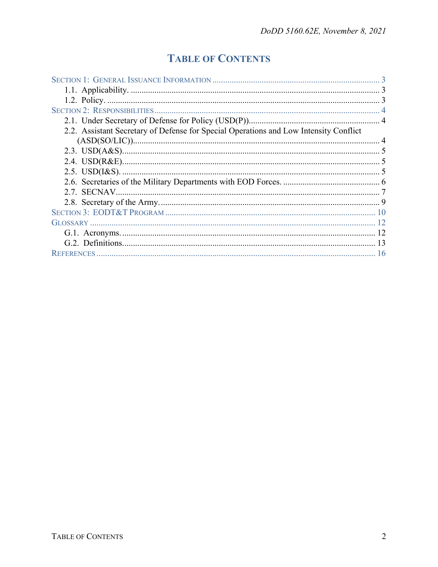## **TABLE OF CONTENTS**

| 2.2. Assistant Secretary of Defense for Special Operations and Low Intensity Conflict |  |
|---------------------------------------------------------------------------------------|--|
|                                                                                       |  |
|                                                                                       |  |
|                                                                                       |  |
|                                                                                       |  |
|                                                                                       |  |
|                                                                                       |  |
|                                                                                       |  |
|                                                                                       |  |
|                                                                                       |  |
|                                                                                       |  |
|                                                                                       |  |
|                                                                                       |  |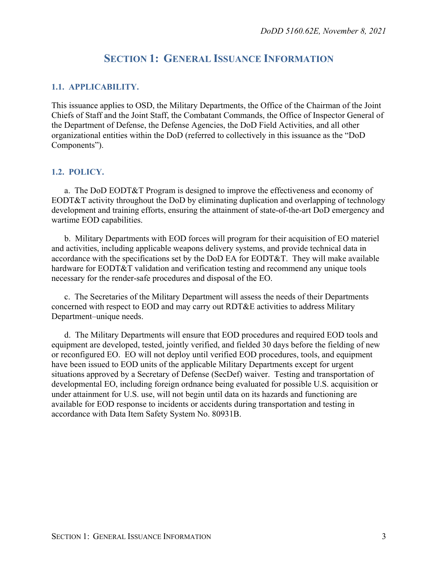## **SECTION 1: GENERAL ISSUANCE INFORMATION**

#### <span id="page-2-1"></span><span id="page-2-0"></span>**1.1. APPLICABILITY.**

This issuance applies to OSD, the Military Departments, the Office of the Chairman of the Joint Chiefs of Staff and the Joint Staff, the Combatant Commands, the Office of Inspector General of the Department of Defense, the Defense Agencies, the DoD Field Activities, and all other organizational entities within the DoD (referred to collectively in this issuance as the "DoD Components").

#### <span id="page-2-2"></span>**1.2. POLICY.**

a. The DoD EODT&T Program is designed to improve the effectiveness and economy of EODT&T activity throughout the DoD by eliminating duplication and overlapping of technology development and training efforts, ensuring the attainment of state-of-the-art DoD emergency and wartime EOD capabilities.

b. Military Departments with EOD forces will program for their acquisition of EO materiel and activities, including applicable weapons delivery systems, and provide technical data in accordance with the specifications set by the DoD EA for EODT&T. They will make available hardware for EODT&T validation and verification testing and recommend any unique tools necessary for the render-safe procedures and disposal of the EO.

c. The Secretaries of the Military Department will assess the needs of their Departments concerned with respect to EOD and may carry out RDT&E activities to address Military Department–unique needs.

d. The Military Departments will ensure that EOD procedures and required EOD tools and equipment are developed, tested, jointly verified, and fielded 30 days before the fielding of new or reconfigured EO. EO will not deploy until verified EOD procedures, tools, and equipment have been issued to EOD units of the applicable Military Departments except for urgent situations approved by a Secretary of Defense (SecDef) waiver. Testing and transportation of developmental EO, including foreign ordnance being evaluated for possible U.S. acquisition or under attainment for U.S. use, will not begin until data on its hazards and functioning are available for EOD response to incidents or accidents during transportation and testing in accordance with Data Item Safety System No. 80931B.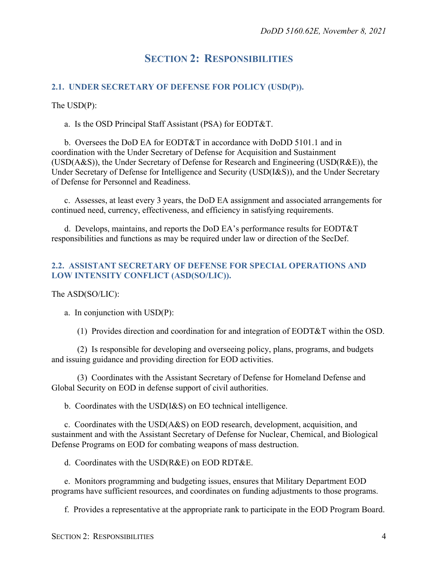## **SECTION 2: RESPONSIBILITIES**

#### <span id="page-3-1"></span><span id="page-3-0"></span>**2.1. UNDER SECRETARY OF DEFENSE FOR POLICY (USD(P)).**

The USD(P):

a. Is the OSD Principal Staff Assistant (PSA) for EODT&T.

b. Oversees the DoD EA for EODT&T in accordance with DoDD 5101.1 and in coordination with the Under Secretary of Defense for Acquisition and Sustainment (USD(A&S)), the Under Secretary of Defense for Research and Engineering (USD(R&E)), the Under Secretary of Defense for Intelligence and Security (USD(I&S)), and the Under Secretary of Defense for Personnel and Readiness.

c. Assesses, at least every 3 years, the DoD EA assignment and associated arrangements for continued need, currency, effectiveness, and efficiency in satisfying requirements.

d. Develops, maintains, and reports the DoD EA's performance results for EODT&T responsibilities and functions as may be required under law or direction of the SecDef.

#### <span id="page-3-2"></span>**2.2. ASSISTANT SECRETARY OF DEFENSE FOR SPECIAL OPERATIONS AND LOW INTENSITY CONFLICT (ASD(SO/LIC)).**

#### The ASD(SO/LIC):

a. In conjunction with USD(P):

(1) Provides direction and coordination for and integration of EODT&T within the OSD.

(2) Is responsible for developing and overseeing policy, plans, programs, and budgets and issuing guidance and providing direction for EOD activities.

(3) Coordinates with the Assistant Secretary of Defense for Homeland Defense and Global Security on EOD in defense support of civil authorities.

b. Coordinates with the USD(I&S) on EO technical intelligence.

c. Coordinates with the USD(A&S) on EOD research, development, acquisition, and sustainment and with the Assistant Secretary of Defense for Nuclear, Chemical, and Biological Defense Programs on EOD for combating weapons of mass destruction.

d. Coordinates with the USD(R&E) on EOD RDT&E.

e. Monitors programming and budgeting issues, ensures that Military Department EOD programs have sufficient resources, and coordinates on funding adjustments to those programs.

f. Provides a representative at the appropriate rank to participate in the EOD Program Board.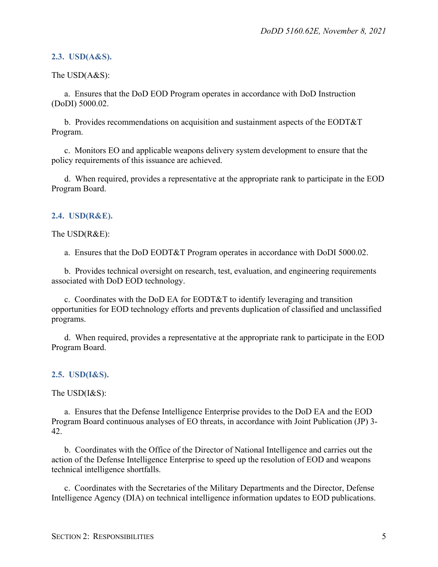#### <span id="page-4-0"></span>**2.3. USD(A&S).**

The USD(A&S):

a. Ensures that the DoD EOD Program operates in accordance with DoD Instruction (DoDI) 5000.02.

b. Provides recommendations on acquisition and sustainment aspects of the EODT&T Program.

c. Monitors EO and applicable weapons delivery system development to ensure that the policy requirements of this issuance are achieved.

d. When required, provides a representative at the appropriate rank to participate in the EOD Program Board.

#### <span id="page-4-1"></span>**2.4. USD(R&E).**

The USD(R&E):

a. Ensures that the DoD EODT&T Program operates in accordance with DoDI 5000.02.

b. Provides technical oversight on research, test, evaluation, and engineering requirements associated with DoD EOD technology.

c. Coordinates with the DoD EA for EODT&T to identify leveraging and transition opportunities for EOD technology efforts and prevents duplication of classified and unclassified programs.

d. When required, provides a representative at the appropriate rank to participate in the EOD Program Board.

#### <span id="page-4-2"></span>**2.5. USD(I&S).**

The USD(I&S):

a. Ensures that the Defense Intelligence Enterprise provides to the DoD EA and the EOD Program Board continuous analyses of EO threats, in accordance with Joint Publication (JP) 3- 42.

b. Coordinates with the Office of the Director of National Intelligence and carries out the action of the Defense Intelligence Enterprise to speed up the resolution of EOD and weapons technical intelligence shortfalls.

c. Coordinates with the Secretaries of the Military Departments and the Director, Defense Intelligence Agency (DIA) on technical intelligence information updates to EOD publications.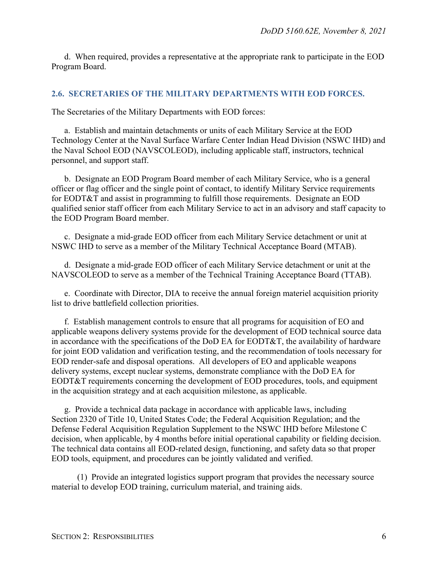d. When required, provides a representative at the appropriate rank to participate in the EOD Program Board.

#### <span id="page-5-0"></span>**2.6. SECRETARIES OF THE MILITARY DEPARTMENTS WITH EOD FORCES.**

The Secretaries of the Military Departments with EOD forces:

a. Establish and maintain detachments or units of each Military Service at the EOD Technology Center at the Naval Surface Warfare Center Indian Head Division (NSWC IHD) and the Naval School EOD (NAVSCOLEOD), including applicable staff, instructors, technical personnel, and support staff.

b. Designate an EOD Program Board member of each Military Service, who is a general officer or flag officer and the single point of contact, to identify Military Service requirements for EODT&T and assist in programming to fulfill those requirements. Designate an EOD qualified senior staff officer from each Military Service to act in an advisory and staff capacity to the EOD Program Board member.

c. Designate a mid-grade EOD officer from each Military Service detachment or unit at NSWC IHD to serve as a member of the Military Technical Acceptance Board (MTAB).

d. Designate a mid-grade EOD officer of each Military Service detachment or unit at the NAVSCOLEOD to serve as a member of the Technical Training Acceptance Board (TTAB).

e. Coordinate with Director, DIA to receive the annual foreign materiel acquisition priority list to drive battlefield collection priorities.

f. Establish management controls to ensure that all programs for acquisition of EO and applicable weapons delivery systems provide for the development of EOD technical source data in accordance with the specifications of the DoD EA for EODT&T, the availability of hardware for joint EOD validation and verification testing, and the recommendation of tools necessary for EOD render-safe and disposal operations. All developers of EO and applicable weapons delivery systems, except nuclear systems, demonstrate compliance with the DoD EA for EODT&T requirements concerning the development of EOD procedures, tools, and equipment in the acquisition strategy and at each acquisition milestone, as applicable.

g. Provide a technical data package in accordance with applicable laws, including Section 2320 of Title 10, United States Code; the Federal Acquisition Regulation; and the Defense Federal Acquisition Regulation Supplement to the NSWC IHD before Milestone C decision, when applicable, by 4 months before initial operational capability or fielding decision. The technical data contains all EOD-related design, functioning, and safety data so that proper EOD tools, equipment, and procedures can be jointly validated and verified.

(1) Provide an integrated logistics support program that provides the necessary source material to develop EOD training, curriculum material, and training aids.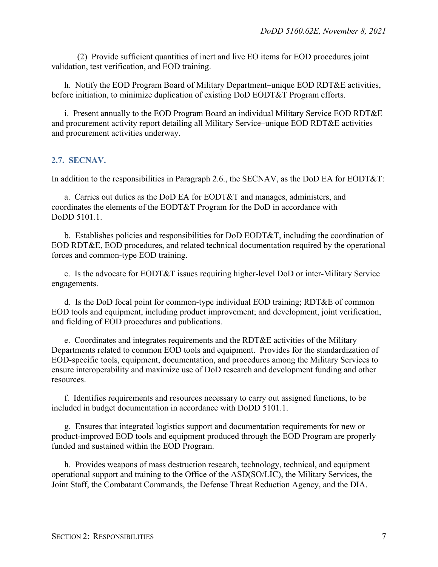(2) Provide sufficient quantities of inert and live EO items for EOD procedures joint validation, test verification, and EOD training.

h. Notify the EOD Program Board of Military Department–unique EOD RDT&E activities, before initiation, to minimize duplication of existing DoD EODT&T Program efforts.

i. Present annually to the EOD Program Board an individual Military Service EOD RDT&E and procurement activity report detailing all Military Service–unique EOD RDT&E activities and procurement activities underway.

#### <span id="page-6-0"></span>**2.7. SECNAV.**

In addition to the responsibilities in Paragraph 2.6., the SECNAV, as the DoD EA for EODT&T:

a. Carries out duties as the DoD EA for EODT&T and manages, administers, and coordinates the elements of the EODT&T Program for the DoD in accordance with DoDD 5101.1.

b. Establishes policies and responsibilities for DoD EODT&T, including the coordination of EOD RDT&E, EOD procedures, and related technical documentation required by the operational forces and common-type EOD training.

c. Is the advocate for EODT&T issues requiring higher-level DoD or inter-Military Service engagements.

d. Is the DoD focal point for common-type individual EOD training; RDT&E of common EOD tools and equipment, including product improvement; and development, joint verification, and fielding of EOD procedures and publications.

e. Coordinates and integrates requirements and the RDT&E activities of the Military Departments related to common EOD tools and equipment. Provides for the standardization of EOD-specific tools, equipment, documentation, and procedures among the Military Services to ensure interoperability and maximize use of DoD research and development funding and other resources.

f. Identifies requirements and resources necessary to carry out assigned functions, to be included in budget documentation in accordance with DoDD 5101.1.

g. Ensures that integrated logistics support and documentation requirements for new or product-improved EOD tools and equipment produced through the EOD Program are properly funded and sustained within the EOD Program.

h. Provides weapons of mass destruction research, technology, technical, and equipment operational support and training to the Office of the ASD(SO/LIC), the Military Services, the Joint Staff, the Combatant Commands, the Defense Threat Reduction Agency, and the DIA.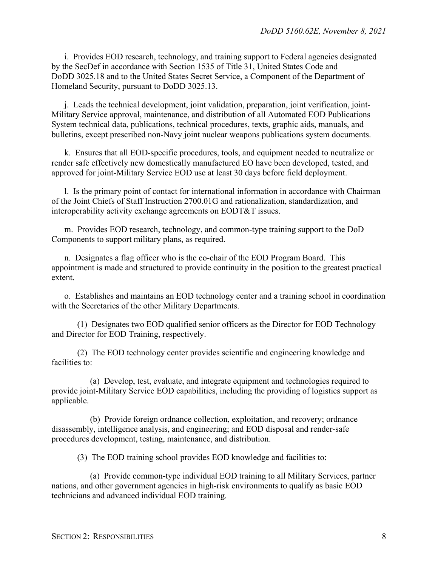i. Provides EOD research, technology, and training support to Federal agencies designated by the SecDef in accordance with Section 1535 of Title 31, United States Code and DoDD 3025.18 and to the United States Secret Service, a Component of the Department of Homeland Security, pursuant to DoDD 3025.13.

j. Leads the technical development, joint validation, preparation, joint verification, joint-Military Service approval, maintenance, and distribution of all Automated EOD Publications System technical data, publications, technical procedures, texts, graphic aids, manuals, and bulletins, except prescribed non-Navy joint nuclear weapons publications system documents.

k. Ensures that all EOD-specific procedures, tools, and equipment needed to neutralize or render safe effectively new domestically manufactured EO have been developed, tested, and approved for joint-Military Service EOD use at least 30 days before field deployment.

l. Is the primary point of contact for international information in accordance with Chairman of the Joint Chiefs of Staff Instruction 2700.01G and rationalization, standardization, and interoperability activity exchange agreements on EODT&T issues.

m. Provides EOD research, technology, and common-type training support to the DoD Components to support military plans, as required.

n. Designates a flag officer who is the co-chair of the EOD Program Board. This appointment is made and structured to provide continuity in the position to the greatest practical extent.

o. Establishes and maintains an EOD technology center and a training school in coordination with the Secretaries of the other Military Departments.

(1) Designates two EOD qualified senior officers as the Director for EOD Technology and Director for EOD Training, respectively.

(2) The EOD technology center provides scientific and engineering knowledge and facilities to:

(a) Develop, test, evaluate, and integrate equipment and technologies required to provide joint-Military Service EOD capabilities, including the providing of logistics support as applicable.

(b) Provide foreign ordnance collection, exploitation, and recovery; ordnance disassembly, intelligence analysis, and engineering; and EOD disposal and render-safe procedures development, testing, maintenance, and distribution.

(3) The EOD training school provides EOD knowledge and facilities to:

(a) Provide common-type individual EOD training to all Military Services, partner nations, and other government agencies in high-risk environments to qualify as basic EOD technicians and advanced individual EOD training.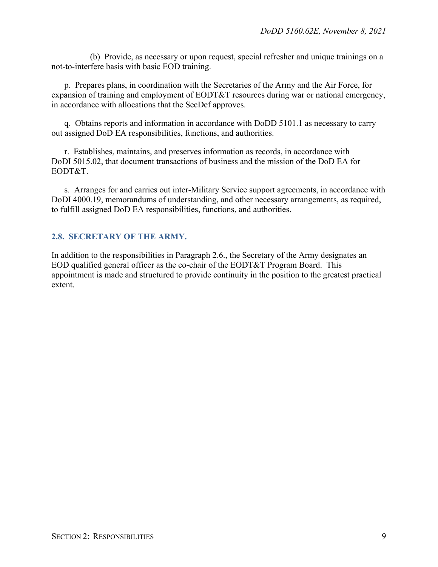(b) Provide, as necessary or upon request, special refresher and unique trainings on a not-to-interfere basis with basic EOD training.

p. Prepares plans, in coordination with the Secretaries of the Army and the Air Force, for expansion of training and employment of EODT&T resources during war or national emergency, in accordance with allocations that the SecDef approves.

q. Obtains reports and information in accordance with DoDD 5101.1 as necessary to carry out assigned DoD EA responsibilities, functions, and authorities.

r. Establishes, maintains, and preserves information as records, in accordance with DoDI 5015.02, that document transactions of business and the mission of the DoD EA for EODT&T.

s. Arranges for and carries out inter-Military Service support agreements, in accordance with DoDI 4000.19, memorandums of understanding, and other necessary arrangements, as required, to fulfill assigned DoD EA responsibilities, functions, and authorities.

#### <span id="page-8-0"></span>**2.8. SECRETARY OF THE ARMY.**

In addition to the responsibilities in Paragraph 2.6., the Secretary of the Army designates an EOD qualified general officer as the co-chair of the EODT&T Program Board. This appointment is made and structured to provide continuity in the position to the greatest practical extent.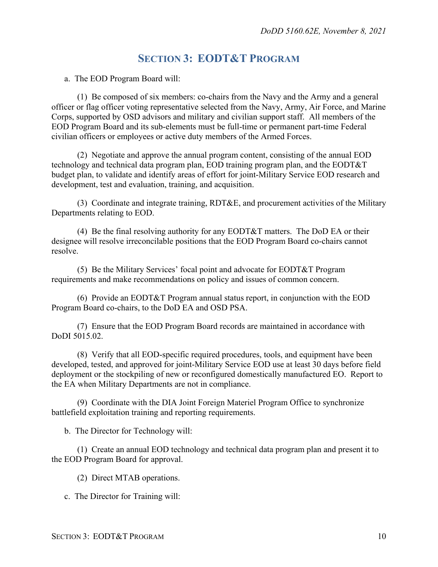## **SECTION 3: EODT&T PROGRAM**

<span id="page-9-0"></span>a. The EOD Program Board will:

(1) Be composed of six members: co-chairs from the Navy and the Army and a general officer or flag officer voting representative selected from the Navy, Army, Air Force, and Marine Corps, supported by OSD advisors and military and civilian support staff. All members of the EOD Program Board and its sub-elements must be full-time or permanent part-time Federal civilian officers or employees or active duty members of the Armed Forces.

(2) Negotiate and approve the annual program content, consisting of the annual EOD technology and technical data program plan, EOD training program plan, and the EODT&T budget plan, to validate and identify areas of effort for joint-Military Service EOD research and development, test and evaluation, training, and acquisition.

(3) Coordinate and integrate training, RDT&E, and procurement activities of the Military Departments relating to EOD.

(4) Be the final resolving authority for any EODT&T matters. The DoD EA or their designee will resolve irreconcilable positions that the EOD Program Board co-chairs cannot resolve.

(5) Be the Military Services' focal point and advocate for EODT&T Program requirements and make recommendations on policy and issues of common concern.

(6) Provide an EODT&T Program annual status report, in conjunction with the EOD Program Board co-chairs, to the DoD EA and OSD PSA.

(7) Ensure that the EOD Program Board records are maintained in accordance with DoDI 5015.02.

(8) Verify that all EOD-specific required procedures, tools, and equipment have been developed, tested, and approved for joint-Military Service EOD use at least 30 days before field deployment or the stockpiling of new or reconfigured domestically manufactured EO. Report to the EA when Military Departments are not in compliance.

(9) Coordinate with the DIA Joint Foreign Materiel Program Office to synchronize battlefield exploitation training and reporting requirements.

b. The Director for Technology will:

(1) Create an annual EOD technology and technical data program plan and present it to the EOD Program Board for approval.

(2) Direct MTAB operations.

c. The Director for Training will: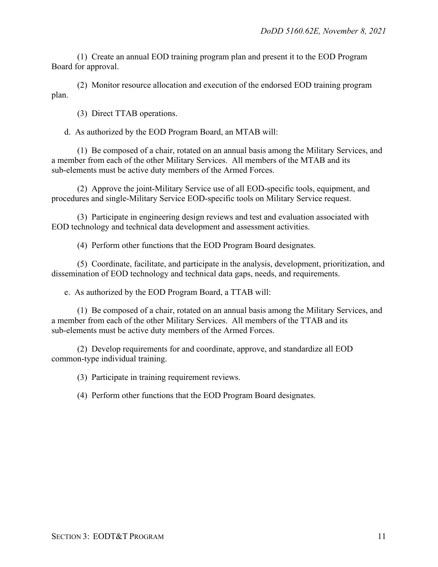(1) Create an annual EOD training program plan and present it to the EOD Program Board for approval.

(2) Monitor resource allocation and execution of the endorsed EOD training program plan.

(3) Direct TTAB operations.

d. As authorized by the EOD Program Board, an MTAB will:

(1) Be composed of a chair, rotated on an annual basis among the Military Services, and a member from each of the other Military Services. All members of the MTAB and its sub-elements must be active duty members of the Armed Forces.

(2) Approve the joint-Military Service use of all EOD-specific tools, equipment, and procedures and single-Military Service EOD-specific tools on Military Service request.

(3) Participate in engineering design reviews and test and evaluation associated with EOD technology and technical data development and assessment activities.

(4) Perform other functions that the EOD Program Board designates.

(5) Coordinate, facilitate, and participate in the analysis, development, prioritization, and dissemination of EOD technology and technical data gaps, needs, and requirements.

e. As authorized by the EOD Program Board, a TTAB will:

(1) Be composed of a chair, rotated on an annual basis among the Military Services, and a member from each of the other Military Services. All members of the TTAB and its sub-elements must be active duty members of the Armed Forces.

(2) Develop requirements for and coordinate, approve, and standardize all EOD common-type individual training.

(3) Participate in training requirement reviews.

(4) Perform other functions that the EOD Program Board designates.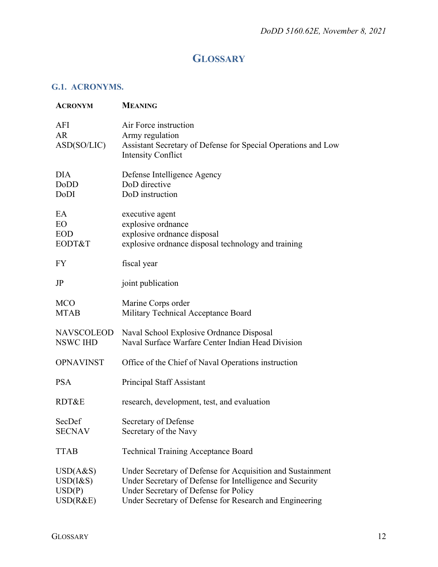## **GLOSSARY**

### <span id="page-11-1"></span><span id="page-11-0"></span>**G.1. ACRONYMS.**

| <b>ACRONYM</b>                                | <b>MEANING</b>                                                                                                                                                                                                             |
|-----------------------------------------------|----------------------------------------------------------------------------------------------------------------------------------------------------------------------------------------------------------------------------|
| AFI<br><b>AR</b><br>ASD(SO/LIC)               | Air Force instruction<br>Army regulation<br>Assistant Secretary of Defense for Special Operations and Low<br><b>Intensity Conflict</b>                                                                                     |
| <b>DIA</b><br>DoDD<br>DoDI                    | Defense Intelligence Agency<br>DoD directive<br>DoD instruction                                                                                                                                                            |
| EA<br><b>EO</b><br><b>EOD</b><br>EODT&T       | executive agent<br>explosive ordnance<br>explosive ordnance disposal<br>explosive ordnance disposal technology and training                                                                                                |
| <b>FY</b>                                     | fiscal year                                                                                                                                                                                                                |
| JP                                            | joint publication                                                                                                                                                                                                          |
| <b>MCO</b><br><b>MTAB</b>                     | Marine Corps order<br>Military Technical Acceptance Board                                                                                                                                                                  |
| NAVSCOLEOD<br>NSWC IHD                        | Naval School Explosive Ordnance Disposal<br>Naval Surface Warfare Center Indian Head Division                                                                                                                              |
| <b>OPNAVINST</b>                              | Office of the Chief of Naval Operations instruction                                                                                                                                                                        |
| <b>PSA</b>                                    | Principal Staff Assistant                                                                                                                                                                                                  |
| RDT&E                                         | research, development, test, and evaluation                                                                                                                                                                                |
| SecDef<br><b>SECNAV</b>                       | Secretary of Defense<br>Secretary of the Navy                                                                                                                                                                              |
| <b>TTAB</b>                                   | <b>Technical Training Acceptance Board</b>                                                                                                                                                                                 |
| USD(A&S)<br>$USD(I\&S)$<br>USD(P)<br>USD(R&E) | Under Secretary of Defense for Acquisition and Sustainment<br>Under Secretary of Defense for Intelligence and Security<br>Under Secretary of Defense for Policy<br>Under Secretary of Defense for Research and Engineering |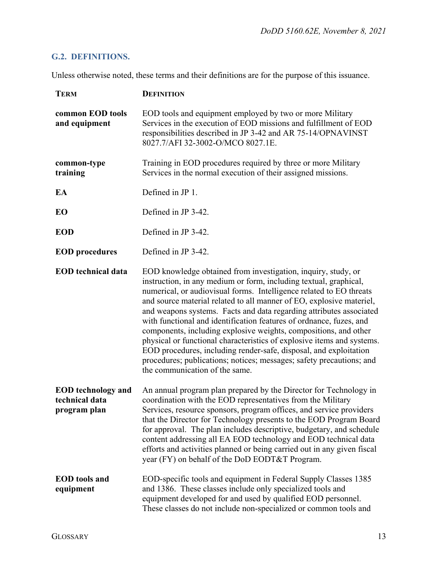## <span id="page-12-0"></span>**G.2. DEFINITIONS.**

Unless otherwise noted, these terms and their definitions are for the purpose of this issuance.

| <b>TERM</b>                                                 | <b>DEFINITION</b>                                                                                                                                                                                                                                                                                                                                                                                                                                                                                                                                                                                                                                                                                                                                            |
|-------------------------------------------------------------|--------------------------------------------------------------------------------------------------------------------------------------------------------------------------------------------------------------------------------------------------------------------------------------------------------------------------------------------------------------------------------------------------------------------------------------------------------------------------------------------------------------------------------------------------------------------------------------------------------------------------------------------------------------------------------------------------------------------------------------------------------------|
| common EOD tools<br>and equipment                           | EOD tools and equipment employed by two or more Military<br>Services in the execution of EOD missions and fulfillment of EOD<br>responsibilities described in JP 3-42 and AR 75-14/OPNAVINST<br>8027.7/AFI 32-3002-O/MCO 8027.1E.                                                                                                                                                                                                                                                                                                                                                                                                                                                                                                                            |
| common-type<br>training                                     | Training in EOD procedures required by three or more Military<br>Services in the normal execution of their assigned missions.                                                                                                                                                                                                                                                                                                                                                                                                                                                                                                                                                                                                                                |
| EA                                                          | Defined in JP 1.                                                                                                                                                                                                                                                                                                                                                                                                                                                                                                                                                                                                                                                                                                                                             |
| EO                                                          | Defined in JP 3-42.                                                                                                                                                                                                                                                                                                                                                                                                                                                                                                                                                                                                                                                                                                                                          |
| <b>EOD</b>                                                  | Defined in JP 3-42.                                                                                                                                                                                                                                                                                                                                                                                                                                                                                                                                                                                                                                                                                                                                          |
| <b>EOD</b> procedures                                       | Defined in JP 3-42.                                                                                                                                                                                                                                                                                                                                                                                                                                                                                                                                                                                                                                                                                                                                          |
| <b>EOD</b> technical data                                   | EOD knowledge obtained from investigation, inquiry, study, or<br>instruction, in any medium or form, including textual, graphical,<br>numerical, or audiovisual forms. Intelligence related to EO threats<br>and source material related to all manner of EO, explosive materiel,<br>and weapons systems. Facts and data regarding attributes associated<br>with functional and identification features of ordnance, fuzes, and<br>components, including explosive weights, compositions, and other<br>physical or functional characteristics of explosive items and systems.<br>EOD procedures, including render-safe, disposal, and exploitation<br>procedures; publications; notices; messages; safety precautions; and<br>the communication of the same. |
| <b>EOD</b> technology and<br>technical data<br>program plan | An annual program plan prepared by the Director for Technology in<br>coordination with the EOD representatives from the Military<br>Services, resource sponsors, program offices, and service providers<br>that the Director for Technology presents to the EOD Program Board<br>for approval. The plan includes descriptive, budgetary, and schedule<br>content addressing all EA EOD technology and EOD technical data<br>efforts and activities planned or being carried out in any given fiscal<br>year (FY) on behalf of the DoD EODT&T Program.                                                                                                                                                                                                        |
| <b>EOD</b> tools and<br>equipment                           | EOD-specific tools and equipment in Federal Supply Classes 1385<br>and 1386. These classes include only specialized tools and<br>equipment developed for and used by qualified EOD personnel.<br>These classes do not include non-specialized or common tools and                                                                                                                                                                                                                                                                                                                                                                                                                                                                                            |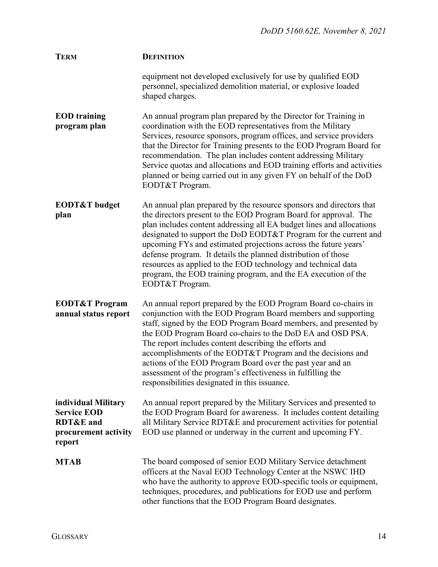| <b>TERM</b>                                                                                         | <b>DEFINITION</b>                                                                                                                                                                                                                                                                                                                                                                                                                                                                                                                                                             |
|-----------------------------------------------------------------------------------------------------|-------------------------------------------------------------------------------------------------------------------------------------------------------------------------------------------------------------------------------------------------------------------------------------------------------------------------------------------------------------------------------------------------------------------------------------------------------------------------------------------------------------------------------------------------------------------------------|
|                                                                                                     | equipment not developed exclusively for use by qualified EOD<br>personnel, specialized demolition material, or explosive loaded<br>shaped charges.                                                                                                                                                                                                                                                                                                                                                                                                                            |
| <b>EOD</b> training<br>program plan                                                                 | An annual program plan prepared by the Director for Training in<br>coordination with the EOD representatives from the Military<br>Services, resource sponsors, program offices, and service providers<br>that the Director for Training presents to the EOD Program Board for<br>recommendation. The plan includes content addressing Military<br>Service quotas and allocations and EOD training efforts and activities<br>planned or being carried out in any given FY on behalf of the DoD<br>EODT&T Program.                                                              |
| <b>EODT&amp;T</b> budget<br>plan                                                                    | An annual plan prepared by the resource sponsors and directors that<br>the directors present to the EOD Program Board for approval. The<br>plan includes content addressing all EA budget lines and allocations<br>designated to support the DoD EODT&T Program for the current and<br>upcoming FYs and estimated projections across the future years'<br>defense program. It details the planned distribution of those<br>resources as applied to the EOD technology and technical data<br>program, the EOD training program, and the EA execution of the<br>EODT&T Program. |
| <b>EODT&amp;T Program</b><br>annual status report                                                   | An annual report prepared by the EOD Program Board co-chairs in<br>conjunction with the EOD Program Board members and supporting<br>staff, signed by the EOD Program Board members, and presented by<br>the EOD Program Board co-chairs to the DoD EA and OSD PSA.<br>The report includes content describing the efforts and<br>accomplishments of the EODT&T Program and the decisions and<br>actions of the EOD Program Board over the past year and an<br>assessment of the program's effectiveness in fulfilling the<br>responsibilities designated in this issuance.     |
| individual Military<br><b>Service EOD</b><br><b>RDT&amp;E</b> and<br>procurement activity<br>report | An annual report prepared by the Military Services and presented to<br>the EOD Program Board for awareness. It includes content detailing<br>all Military Service RDT&E and procurement activities for potential<br>EOD use planned or underway in the current and upcoming FY.                                                                                                                                                                                                                                                                                               |
| <b>MTAB</b>                                                                                         | The board composed of senior EOD Military Service detachment<br>officers at the Naval EOD Technology Center at the NSWC IHD<br>who have the authority to approve EOD-specific tools or equipment,<br>techniques, procedures, and publications for EOD use and perform<br>other functions that the EOD Program Board designates.                                                                                                                                                                                                                                               |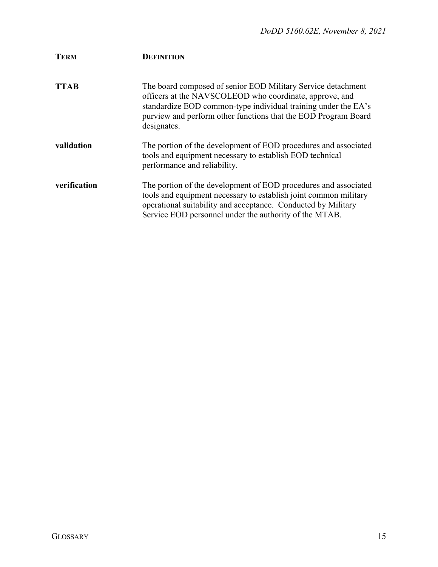| <b>TERM</b>  | <b>DEFINITION</b>                                                                                                                                                                                                                                                          |
|--------------|----------------------------------------------------------------------------------------------------------------------------------------------------------------------------------------------------------------------------------------------------------------------------|
| <b>TTAB</b>  | The board composed of senior EOD Military Service detachment<br>officers at the NAVSCOLEOD who coordinate, approve, and<br>standardize EOD common-type individual training under the EA's<br>purview and perform other functions that the EOD Program Board<br>designates. |
| validation   | The portion of the development of EOD procedures and associated<br>tools and equipment necessary to establish EOD technical<br>performance and reliability.                                                                                                                |
| verification | The portion of the development of EOD procedures and associated<br>tools and equipment necessary to establish joint common military<br>operational suitability and acceptance. Conducted by Military<br>Service EOD personnel under the authority of the MTAB.             |